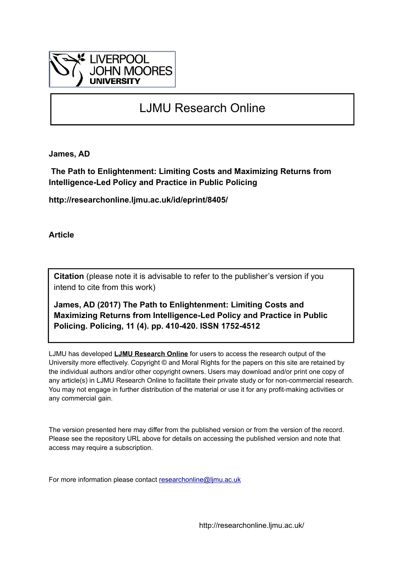

# LJMU Research Online

**James, AD**

 **The Path to Enlightenment: Limiting Costs and Maximizing Returns from Intelligence-Led Policy and Practice in Public Policing**

**http://researchonline.ljmu.ac.uk/id/eprint/8405/**

**Article**

**Citation** (please note it is advisable to refer to the publisher's version if you intend to cite from this work)

**James, AD (2017) The Path to Enlightenment: Limiting Costs and Maximizing Returns from Intelligence-Led Policy and Practice in Public Policing. Policing, 11 (4). pp. 410-420. ISSN 1752-4512** 

LJMU has developed **[LJMU Research Online](http://researchonline.ljmu.ac.uk/)** for users to access the research output of the University more effectively. Copyright © and Moral Rights for the papers on this site are retained by the individual authors and/or other copyright owners. Users may download and/or print one copy of any article(s) in LJMU Research Online to facilitate their private study or for non-commercial research. You may not engage in further distribution of the material or use it for any profit-making activities or any commercial gain.

The version presented here may differ from the published version or from the version of the record. Please see the repository URL above for details on accessing the published version and note that access may require a subscription.

For more information please contact [researchonline@ljmu.ac.uk](mailto:researchonline@ljmu.ac.uk)

http://researchonline.ljmu.ac.uk/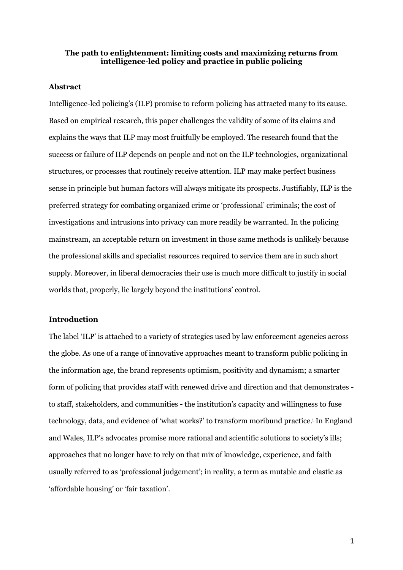## **The path to enlightenment: limiting costs and maximizing returns from intelligence-led policy and practice in public policing**

#### **Abstract**

Intelligence-led policing's (ILP) promise to reform policing has attracted many to its cause. Based on empirical research, this paper challenges the validity of some of its claims and explains the ways that ILP may most fruitfully be employed. The research found that the success or failure of ILP depends on people and not on the ILP technologies, organizational structures, or processes that routinely receive attention. ILP may make perfect business sense in principle but human factors will always mitigate its prospects. Justifiably, ILP is the preferred strategy for combating organized crime or 'professional' criminals; the cost of investigations and intrusions into privacy can more readily be warranted. In the policing mainstream, an acceptable return on investment in those same methods is unlikely because the professional skills and specialist resources required to service them are in such short supply. Moreover, in liberal democracies their use is much more difficult to justify in social worlds that, properly, lie largely beyond the institutions' control.

#### **Introduction**

The label 'ILP' is attached to a variety of strategies used by law enforcement agencies across the globe. As one of a range of innovative approaches meant to transform public policing in the information age, the brand represents optimism, positivity and dynamism; a smarter form of policing that provides staff with renewed drive and direction and that demonstrates to staff, stakeholders, and communities - the institution's capacity and willingness to fuse technology, data, and evidence of 'what works?' to transform moribund practice.<sup>i</sup> In England and Wales, ILP's advocates promise more rational and scientific solutions to society's ills; approaches that no longer have to rely on that mix of knowledge, experience, and faith usually referred to as 'professional judgement'; in reality, a term as mutable and elastic as 'affordable housing' or 'fair taxation'.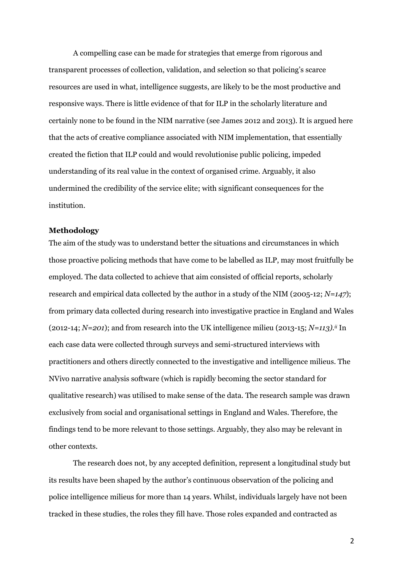A compelling case can be made for strategies that emerge from rigorous and transparent processes of collection, validation, and selection so that policing's scarce resources are used in what, intelligence suggests, are likely to be the most productive and responsive ways. There is little evidence of that for ILP in the scholarly literature and certainly none to be found in the NIM narrative (see James 2012 and 2013). It is argued here that the acts of creative compliance associated with NIM implementation, that essentially created the fiction that ILP could and would revolutionise public policing, impeded understanding of its real value in the context of organised crime. Arguably, it also undermined the credibility of the service elite; with significant consequences for the institution.

# **Methodology**

The aim of the study was to understand better the situations and circumstances in which those proactive policing methods that have come to be labelled as ILP, may most fruitfully be employed. The data collected to achieve that aim consisted of official reports, scholarly research and empirical data collected by the author in a study of the NIM (2005-12; *N=147*); from primary data collected during research into investigative practice in England and Wales (2012-14; *N=201*); and from research into the UK intelligence milieu (2013-15; *N=113).ii* In each case data were collected through surveys and semi-structured interviews with practitioners and others directly connected to the investigative and intelligence milieus. The NVivo narrative analysis software (which is rapidly becoming the sector standard for qualitative research) was utilised to make sense of the data. The research sample was drawn exclusively from social and organisational settings in England and Wales. Therefore, the findings tend to be more relevant to those settings. Arguably, they also may be relevant in other contexts.

The research does not, by any accepted definition, represent a longitudinal study but its results have been shaped by the author's continuous observation of the policing and police intelligence milieus for more than 14 years. Whilst, individuals largely have not been tracked in these studies, the roles they fill have. Those roles expanded and contracted as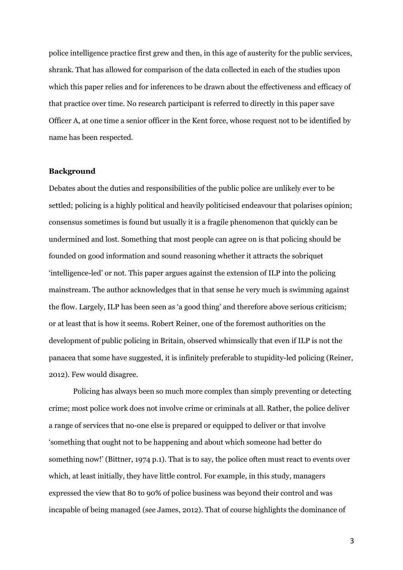police intelligence practice first grew and then, in this age of austerity for the public services, shrank. That has allowed for comparison of the data collected in each of the studies upon which this paper relies and for inferences to be drawn about the effectiveness and efficacy of that practice over time. No research participant is referred to directly in this paper save Officer A, at one time a senior officer in the Kent force, whose request not to be identified by name has been respected.

# **Background**

Debates about the duties and responsibilities of the public police are unlikely ever to be settled; policing is a highly political and heavily politicised endeavour that polarises opinion; consensus sometimes is found but usually it is a fragile phenomenon that quickly can be undermined and lost. Something that most people can agree on is that policing should be founded on good information and sound reasoning whether it attracts the sobriquet 'intelligence-led' or not. This paper argues against the extension of ILP into the policing mainstream. The author acknowledges that in that sense he very much is swimming against the flow. Largely, ILP has been seen as 'a good thing' and therefore above serious criticism; or at least that is how it seems. Robert Reiner, one of the foremost authorities on the development of public policing in Britain, observed whimsically that even if ILP is not the panacea that some have suggested, it is infinitely preferable to stupidity-led policing (Reiner, 2012). Few would disagree.

Policing has always been so much more complex than simply preventing or detecting crime; most police work does not involve crime or criminals at all. Rather, the police deliver a range of services that no-one else is prepared or equipped to deliver or that involve 'something that ought not to be happening and about which someone had better do something now!' (Bittner, 1974 p.1). That is to say, the police often must react to events over which, at least initially, they have little control. For example, in this study, managers expressed the view that 80 to 90% of police business was beyond their control and was incapable of being managed (see James, 2012). That of course highlights the dominance of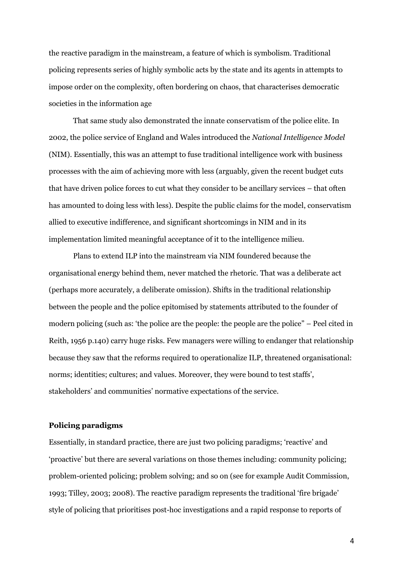the reactive paradigm in the mainstream, a feature of which is symbolism. Traditional policing represents series of highly symbolic acts by the state and its agents in attempts to impose order on the complexity, often bordering on chaos, that characterises democratic societies in the information age

That same study also demonstrated the innate conservatism of the police elite. In 2002, the police service of England and Wales introduced the *National Intelligence Model*  (NIM). Essentially, this was an attempt to fuse traditional intelligence work with business processes with the aim of achieving more with less (arguably, given the recent budget cuts that have driven police forces to cut what they consider to be ancillary services – that often has amounted to doing less with less). Despite the public claims for the model, conservatism allied to executive indifference, and significant shortcomings in NIM and in its implementation limited meaningful acceptance of it to the intelligence milieu.

Plans to extend ILP into the mainstream via NIM foundered because the organisational energy behind them, never matched the rhetoric. That was a deliberate act (perhaps more accurately, a deliberate omission). Shifts in the traditional relationship between the people and the police epitomised by statements attributed to the founder of modern policing (such as: 'the police are the people: the people are the police" – Peel cited in Reith, 1956 p.140) carry huge risks. Few managers were willing to endanger that relationship because they saw that the reforms required to operationalize ILP, threatened organisational: norms; identities; cultures; and values. Moreover, they were bound to test staffs', stakeholders' and communities' normative expectations of the service.

# **Policing paradigms**

Essentially, in standard practice, there are just two policing paradigms; 'reactive' and 'proactive' but there are several variations on those themes including: community policing; problem-oriented policing; problem solving; and so on (see for example Audit Commission, 1993; Tilley, 2003; 2008). The reactive paradigm represents the traditional 'fire brigade' style of policing that prioritises post-hoc investigations and a rapid response to reports of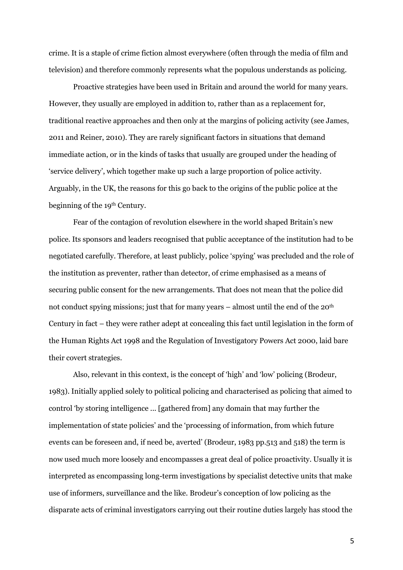crime. It is a staple of crime fiction almost everywhere (often through the media of film and television) and therefore commonly represents what the populous understands as policing.

Proactive strategies have been used in Britain and around the world for many years. However, they usually are employed in addition to, rather than as a replacement for, traditional reactive approaches and then only at the margins of policing activity (see James, 2011 and Reiner, 2010). They are rarely significant factors in situations that demand immediate action, or in the kinds of tasks that usually are grouped under the heading of 'service delivery', which together make up such a large proportion of police activity. Arguably, in the UK, the reasons for this go back to the origins of the public police at the beginning of the 19<sup>th</sup> Century.

Fear of the contagion of revolution elsewhere in the world shaped Britain's new police. Its sponsors and leaders recognised that public acceptance of the institution had to be negotiated carefully. Therefore, at least publicly, police 'spying' was precluded and the role of the institution as preventer, rather than detector, of crime emphasised as a means of securing public consent for the new arrangements. That does not mean that the police did not conduct spying missions; just that for many years – almost until the end of the 20th Century in fact – they were rather adept at concealing this fact until legislation in the form of the Human Rights Act 1998 and the Regulation of Investigatory Powers Act 2000, laid bare their covert strategies.

Also, relevant in this context, is the concept of 'high' and 'low' policing (Brodeur, 1983). Initially applied solely to political policing and characterised as policing that aimed to control 'by storing intelligence ... [gathered from] any domain that may further the implementation of state policies' and the 'processing of information, from which future events can be foreseen and, if need be, averted' (Brodeur, 1983 pp.513 and 518) the term is now used much more loosely and encompasses a great deal of police proactivity. Usually it is interpreted as encompassing long-term investigations by specialist detective units that make use of informers, surveillance and the like. Brodeur's conception of low policing as the disparate acts of criminal investigators carrying out their routine duties largely has stood the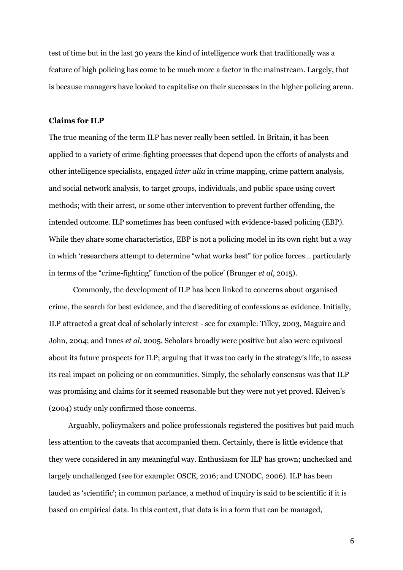test of time but in the last 30 years the kind of intelligence work that traditionally was a feature of high policing has come to be much more a factor in the mainstream. Largely, that is because managers have looked to capitalise on their successes in the higher policing arena.

#### **Claims for ILP**

The true meaning of the term ILP has never really been settled. In Britain, it has been applied to a variety of crime-fighting processes that depend upon the efforts of analysts and other intelligence specialists, engaged *inter alia* in crime mapping, crime pattern analysis, and social network analysis, to target groups, individuals, and public space using covert methods; with their arrest, or some other intervention to prevent further offending, the intended outcome. ILP sometimes has been confused with evidence-based policing (EBP). While they share some characteristics, EBP is not a policing model in its own right but a way in which 'researchers attempt to determine "what works best" for police forces… particularly in terms of the "crime-fighting" function of the police' (Brunger *et al*, 2015).

Commonly, the development of ILP has been linked to concerns about organised crime, the search for best evidence, and the discrediting of confessions as evidence. Initially, ILP attracted a great deal of scholarly interest - see for example: Tilley, 2003, Maguire and John, 2004; and Innes *et al*, 2005. Scholars broadly were positive but also were equivocal about its future prospects for ILP; arguing that it was too early in the strategy's life, to assess its real impact on policing or on communities. Simply, the scholarly consensus was that ILP was promising and claims for it seemed reasonable but they were not yet proved. Kleiven's (2004) study only confirmed those concerns.

Arguably, policymakers and police professionals registered the positives but paid much less attention to the caveats that accompanied them. Certainly, there is little evidence that they were considered in any meaningful way. Enthusiasm for ILP has grown; unchecked and largely unchallenged (see for example: OSCE, 2016; and UNODC, 2006). ILP has been lauded as 'scientific'; in common parlance, a method of inquiry is said to be scientific if it is based on empirical data. In this context, that data is in a form that can be managed,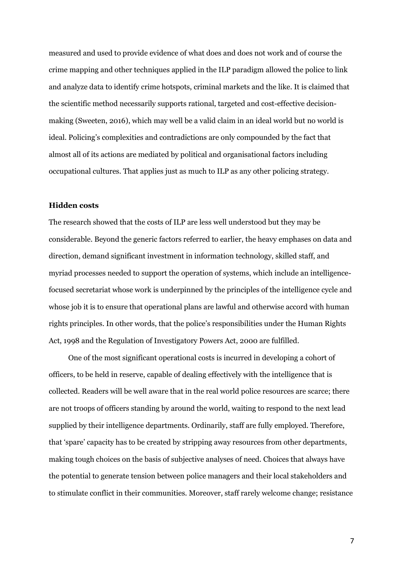measured and used to provide evidence of what does and does not work and of course the crime mapping and other techniques applied in the ILP paradigm allowed the police to link and analyze data to identify crime hotspots, criminal markets and the like. It is claimed that the scientific method necessarily supports rational, targeted and cost-effective decisionmaking (Sweeten, 2016), which may well be a valid claim in an ideal world but no world is ideal. Policing's complexities and contradictions are only compounded by the fact that almost all of its actions are mediated by political and organisational factors including occupational cultures. That applies just as much to ILP as any other policing strategy.

# **Hidden costs**

The research showed that the costs of ILP are less well understood but they may be considerable. Beyond the generic factors referred to earlier, the heavy emphases on data and direction, demand significant investment in information technology, skilled staff, and myriad processes needed to support the operation of systems, which include an intelligencefocused secretariat whose work is underpinned by the principles of the intelligence cycle and whose job it is to ensure that operational plans are lawful and otherwise accord with human rights principles. In other words, that the police's responsibilities under the Human Rights Act, 1998 and the Regulation of Investigatory Powers Act, 2000 are fulfilled.

One of the most significant operational costs is incurred in developing a cohort of officers, to be held in reserve, capable of dealing effectively with the intelligence that is collected. Readers will be well aware that in the real world police resources are scarce; there are not troops of officers standing by around the world, waiting to respond to the next lead supplied by their intelligence departments. Ordinarily, staff are fully employed. Therefore, that 'spare' capacity has to be created by stripping away resources from other departments, making tough choices on the basis of subjective analyses of need. Choices that always have the potential to generate tension between police managers and their local stakeholders and to stimulate conflict in their communities. Moreover, staff rarely welcome change; resistance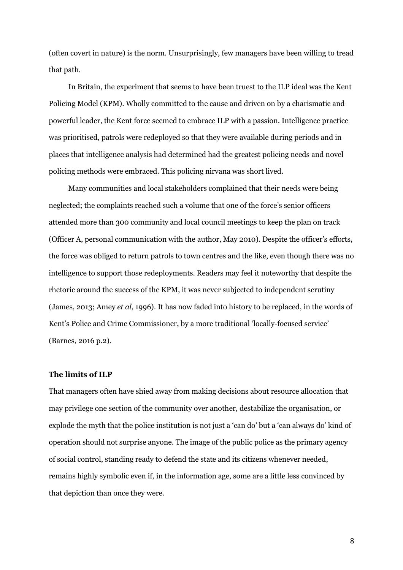(often covert in nature) is the norm. Unsurprisingly, few managers have been willing to tread that path.

In Britain, the experiment that seems to have been truest to the ILP ideal was the Kent Policing Model (KPM). Wholly committed to the cause and driven on by a charismatic and powerful leader, the Kent force seemed to embrace ILP with a passion. Intelligence practice was prioritised, patrols were redeployed so that they were available during periods and in places that intelligence analysis had determined had the greatest policing needs and novel policing methods were embraced. This policing nirvana was short lived.

Many communities and local stakeholders complained that their needs were being neglected; the complaints reached such a volume that one of the force's senior officers attended more than 300 community and local council meetings to keep the plan on track (Officer A, personal communication with the author, May 2010). Despite the officer's efforts, the force was obliged to return patrols to town centres and the like, even though there was no intelligence to support those redeployments. Readers may feel it noteworthy that despite the rhetoric around the success of the KPM, it was never subjected to independent scrutiny (James, 2013; Amey *et al*, 1996). It has now faded into history to be replaced, in the words of Kent's Police and Crime Commissioner, by a more traditional 'locally-focused service' (Barnes, 2016 p.2).

#### **The limits of ILP**

That managers often have shied away from making decisions about resource allocation that may privilege one section of the community over another, destabilize the organisation, or explode the myth that the police institution is not just a 'can do' but a 'can always do' kind of operation should not surprise anyone. The image of the public police as the primary agency of social control, standing ready to defend the state and its citizens whenever needed, remains highly symbolic even if, in the information age, some are a little less convinced by that depiction than once they were.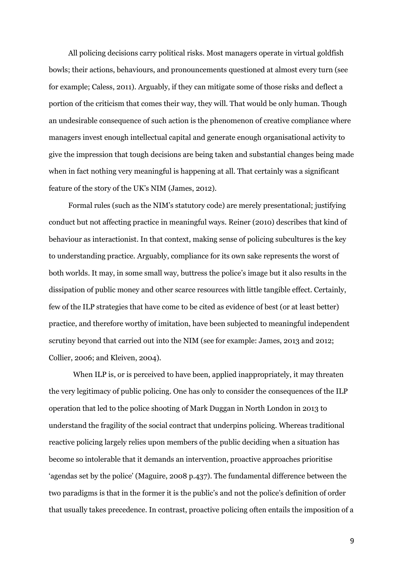All policing decisions carry political risks. Most managers operate in virtual goldfish bowls; their actions, behaviours, and pronouncements questioned at almost every turn (see for example; Caless, 2011). Arguably, if they can mitigate some of those risks and deflect a portion of the criticism that comes their way, they will. That would be only human. Though an undesirable consequence of such action is the phenomenon of creative compliance where managers invest enough intellectual capital and generate enough organisational activity to give the impression that tough decisions are being taken and substantial changes being made when in fact nothing very meaningful is happening at all. That certainly was a significant feature of the story of the UK's NIM (James, 2012).

Formal rules (such as the NIM's statutory code) are merely presentational; justifying conduct but not affecting practice in meaningful ways. Reiner (2010) describes that kind of behaviour as interactionist. In that context, making sense of policing subcultures is the key to understanding practice. Arguably, compliance for its own sake represents the worst of both worlds. It may, in some small way, buttress the police's image but it also results in the dissipation of public money and other scarce resources with little tangible effect. Certainly, few of the ILP strategies that have come to be cited as evidence of best (or at least better) practice, and therefore worthy of imitation, have been subjected to meaningful independent scrutiny beyond that carried out into the NIM (see for example: James, 2013 and 2012; Collier, 2006; and Kleiven, 2004).

When ILP is, or is perceived to have been, applied inappropriately, it may threaten the very legitimacy of public policing. One has only to consider the consequences of the ILP operation that led to the police shooting of Mark Duggan in North London in 2013 to understand the fragility of the social contract that underpins policing. Whereas traditional reactive policing largely relies upon members of the public deciding when a situation has become so intolerable that it demands an intervention, proactive approaches prioritise 'agendas set by the police' (Maguire, 2008 p.437). The fundamental difference between the two paradigms is that in the former it is the public's and not the police's definition of order that usually takes precedence. In contrast, proactive policing often entails the imposition of a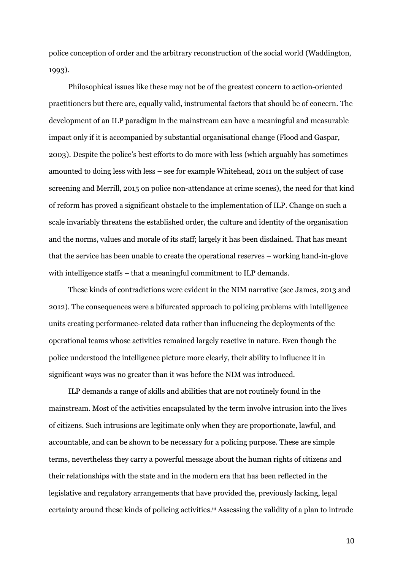police conception of order and the arbitrary reconstruction of the social world (Waddington, 1993).

Philosophical issues like these may not be of the greatest concern to action-oriented practitioners but there are, equally valid, instrumental factors that should be of concern. The development of an ILP paradigm in the mainstream can have a meaningful and measurable impact only if it is accompanied by substantial organisational change (Flood and Gaspar, 2003). Despite the police's best efforts to do more with less (which arguably has sometimes amounted to doing less with less – see for example Whitehead, 2011 on the subject of case screening and Merrill, 2015 on police non-attendance at crime scenes), the need for that kind of reform has proved a significant obstacle to the implementation of ILP. Change on such a scale invariably threatens the established order, the culture and identity of the organisation and the norms, values and morale of its staff; largely it has been disdained. That has meant that the service has been unable to create the operational reserves – working hand-in-glove with intelligence staffs – that a meaningful commitment to ILP demands.

These kinds of contradictions were evident in the NIM narrative (see James, 2013 and 2012). The consequences were a bifurcated approach to policing problems with intelligence units creating performance-related data rather than influencing the deployments of the operational teams whose activities remained largely reactive in nature. Even though the police understood the intelligence picture more clearly, their ability to influence it in significant ways was no greater than it was before the NIM was introduced.

ILP demands a range of skills and abilities that are not routinely found in the mainstream. Most of the activities encapsulated by the term involve intrusion into the lives of citizens. Such intrusions are legitimate only when they are proportionate, lawful, and accountable, and can be shown to be necessary for a policing purpose. These are simple terms, nevertheless they carry a powerful message about the human rights of citizens and their relationships with the state and in the modern era that has been reflected in the legislative and regulatory arrangements that have provided the, previously lacking, legal certainty around these kinds of policing activities. iii Assessing the validity of a plan to intrude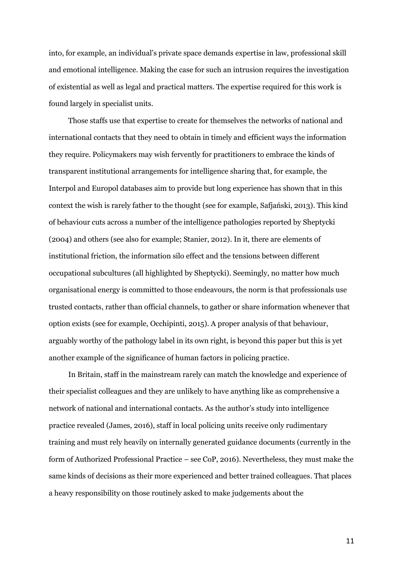into, for example, an individual's private space demands expertise in law, professional skill and emotional intelligence. Making the case for such an intrusion requires the investigation of existential as well as legal and practical matters. The expertise required for this work is found largely in specialist units.

Those staffs use that expertise to create for themselves the networks of national and international contacts that they need to obtain in timely and efficient ways the information they require. Policymakers may wish fervently for practitioners to embrace the kinds of transparent institutional arrangements for intelligence sharing that, for example, the Interpol and Europol databases aim to provide but long experience has shown that in this context the wish is rarely father to the thought (see for example, Safjański, 2013). This kind of behaviour cuts across a number of the intelligence pathologies reported by Sheptycki (2004) and others (see also for example; Stanier, 2012). In it, there are elements of institutional friction, the information silo effect and the tensions between different occupational subcultures (all highlighted by Sheptycki). Seemingly, no matter how much organisational energy is committed to those endeavours, the norm is that professionals use trusted contacts, rather than official channels, to gather or share information whenever that option exists (see for example, Occhipinti, 2015). A proper analysis of that behaviour, arguably worthy of the pathology label in its own right, is beyond this paper but this is yet another example of the significance of human factors in policing practice.

In Britain, staff in the mainstream rarely can match the knowledge and experience of their specialist colleagues and they are unlikely to have anything like as comprehensive a network of national and international contacts. As the author's study into intelligence practice revealed (James, 2016), staff in local policing units receive only rudimentary training and must rely heavily on internally generated guidance documents (currently in the form of Authorized Professional Practice – see CoP, 2016). Nevertheless, they must make the same kinds of decisions as their more experienced and better trained colleagues. That places a heavy responsibility on those routinely asked to make judgements about the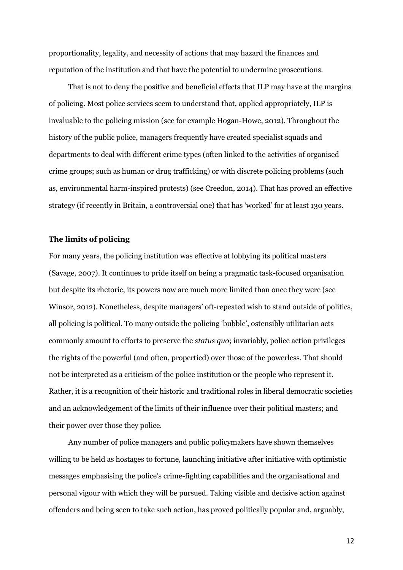proportionality, legality, and necessity of actions that may hazard the finances and reputation of the institution and that have the potential to undermine prosecutions.

That is not to deny the positive and beneficial effects that ILP may have at the margins of policing. Most police services seem to understand that, applied appropriately, ILP is invaluable to the policing mission (see for example Hogan-Howe, 2012). Throughout the history of the public police, managers frequently have created specialist squads and departments to deal with different crime types (often linked to the activities of organised crime groups; such as human or drug trafficking) or with discrete policing problems (such as, environmental harm-inspired protests) (see Creedon, 2014). That has proved an effective strategy (if recently in Britain, a controversial one) that has 'worked' for at least 130 years.

#### **The limits of policing**

For many years, the policing institution was effective at lobbying its political masters (Savage, 2007). It continues to pride itself on being a pragmatic task-focused organisation but despite its rhetoric, its powers now are much more limited than once they were (see Winsor, 2012). Nonetheless, despite managers' oft-repeated wish to stand outside of politics, all policing is political. To many outside the policing 'bubble', ostensibly utilitarian acts commonly amount to efforts to preserve the *status quo*; invariably, police action privileges the rights of the powerful (and often, propertied) over those of the powerless. That should not be interpreted as a criticism of the police institution or the people who represent it. Rather, it is a recognition of their historic and traditional roles in liberal democratic societies and an acknowledgement of the limits of their influence over their political masters; and their power over those they police.

Any number of police managers and public policymakers have shown themselves willing to be held as hostages to fortune, launching initiative after initiative with optimistic messages emphasising the police's crime-fighting capabilities and the organisational and personal vigour with which they will be pursued. Taking visible and decisive action against offenders and being seen to take such action, has proved politically popular and, arguably,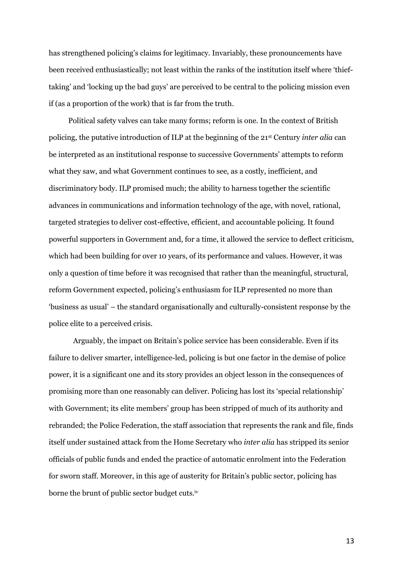has strengthened policing's claims for legitimacy. Invariably, these pronouncements have been received enthusiastically; not least within the ranks of the institution itself where 'thieftaking' and 'locking up the bad guys' are perceived to be central to the policing mission even if (as a proportion of the work) that is far from the truth.

Political safety valves can take many forms; reform is one. In the context of British policing, the putative introduction of ILP at the beginning of the 21st Century *inter alia* can be interpreted as an institutional response to successive Governments' attempts to reform what they saw, and what Government continues to see, as a costly, inefficient, and discriminatory body. ILP promised much; the ability to harness together the scientific advances in communications and information technology of the age, with novel, rational, targeted strategies to deliver cost-effective, efficient, and accountable policing. It found powerful supporters in Government and, for a time, it allowed the service to deflect criticism, which had been building for over 10 years, of its performance and values. However, it was only a question of time before it was recognised that rather than the meaningful, structural, reform Government expected, policing's enthusiasm for ILP represented no more than 'business as usual' – the standard organisationally and culturally-consistent response by the police elite to a perceived crisis.

Arguably, the impact on Britain's police service has been considerable. Even if its failure to deliver smarter, intelligence-led, policing is but one factor in the demise of police power, it is a significant one and its story provides an object lesson in the consequences of promising more than one reasonably can deliver. Policing has lost its 'special relationship' with Government; its elite members' group has been stripped of much of its authority and rebranded; the Police Federation, the staff association that represents the rank and file, finds itself under sustained attack from the Home Secretary who *inter alia* has stripped its senior officials of public funds and ended the practice of automatic enrolment into the Federation for sworn staff. Moreover, in this age of austerity for Britain's public sector, policing has borne the brunt of public sector budget cuts.iv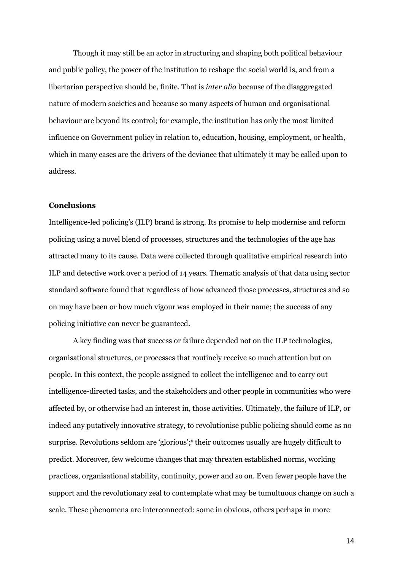Though it may still be an actor in structuring and shaping both political behaviour and public policy, the power of the institution to reshape the social world is, and from a libertarian perspective should be, finite. That is *inter alia* because of the disaggregated nature of modern societies and because so many aspects of human and organisational behaviour are beyond its control; for example, the institution has only the most limited influence on Government policy in relation to, education, housing, employment, or health, which in many cases are the drivers of the deviance that ultimately it may be called upon to address.

# **Conclusions**

Intelligence-led policing's (ILP) brand is strong. Its promise to help modernise and reform policing using a novel blend of processes, structures and the technologies of the age has attracted many to its cause. Data were collected through qualitative empirical research into ILP and detective work over a period of 14 years. Thematic analysis of that data using sector standard software found that regardless of how advanced those processes, structures and so on may have been or how much vigour was employed in their name; the success of any policing initiative can never be guaranteed.

A key finding was that success or failure depended not on the ILP technologies, organisational structures, or processes that routinely receive so much attention but on people. In this context, the people assigned to collect the intelligence and to carry out intelligence-directed tasks, and the stakeholders and other people in communities who were affected by, or otherwise had an interest in, those activities. Ultimately, the failure of ILP, or indeed any putatively innovative strategy, to revolutionise public policing should come as no surprise. Revolutions seldom are 'glorious'; v their outcomes usually are hugely difficult to predict. Moreover, few welcome changes that may threaten established norms, working practices, organisational stability, continuity, power and so on. Even fewer people have the support and the revolutionary zeal to contemplate what may be tumultuous change on such a scale. These phenomena are interconnected: some in obvious, others perhaps in more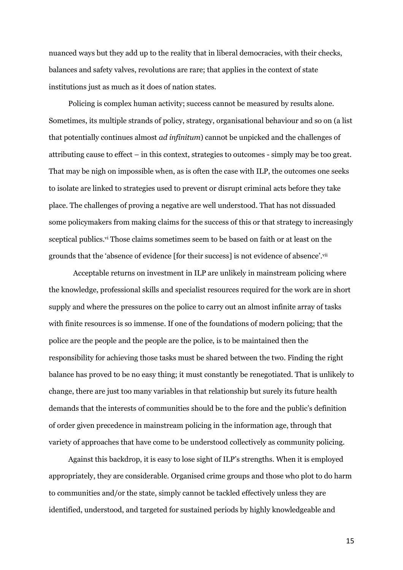nuanced ways but they add up to the reality that in liberal democracies, with their checks, balances and safety valves, revolutions are rare; that applies in the context of state institutions just as much as it does of nation states.

Policing is complex human activity; success cannot be measured by results alone. Sometimes, its multiple strands of policy, strategy, organisational behaviour and so on (a list that potentially continues almost *ad infinitum*) cannot be unpicked and the challenges of attributing cause to effect – in this context, strategies to outcomes - simply may be too great. That may be nigh on impossible when, as is often the case with ILP, the outcomes one seeks to isolate are linked to strategies used to prevent or disrupt criminal acts before they take place. The challenges of proving a negative are well understood. That has not dissuaded some policymakers from making claims for the success of this or that strategy to increasingly sceptical publics.<sup>vi</sup> Those claims sometimes seem to be based on faith or at least on the grounds that the 'absence of evidence [for their success] is not evidence of absence'.vii

Acceptable returns on investment in ILP are unlikely in mainstream policing where the knowledge, professional skills and specialist resources required for the work are in short supply and where the pressures on the police to carry out an almost infinite array of tasks with finite resources is so immense. If one of the foundations of modern policing; that the police are the people and the people are the police, is to be maintained then the responsibility for achieving those tasks must be shared between the two. Finding the right balance has proved to be no easy thing; it must constantly be renegotiated. That is unlikely to change, there are just too many variables in that relationship but surely its future health demands that the interests of communities should be to the fore and the public's definition of order given precedence in mainstream policing in the information age, through that variety of approaches that have come to be understood collectively as community policing.

Against this backdrop, it is easy to lose sight of ILP's strengths. When it is employed appropriately, they are considerable. Organised crime groups and those who plot to do harm to communities and/or the state, simply cannot be tackled effectively unless they are identified, understood, and targeted for sustained periods by highly knowledgeable and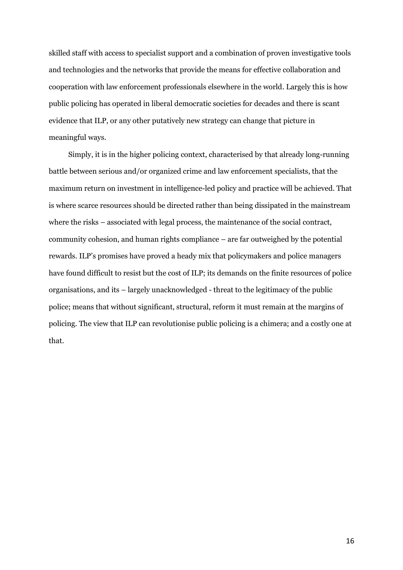skilled staff with access to specialist support and a combination of proven investigative tools and technologies and the networks that provide the means for effective collaboration and cooperation with law enforcement professionals elsewhere in the world. Largely this is how public policing has operated in liberal democratic societies for decades and there is scant evidence that ILP, or any other putatively new strategy can change that picture in meaningful ways.

Simply, it is in the higher policing context, characterised by that already long-running battle between serious and/or organized crime and law enforcement specialists, that the maximum return on investment in intelligence-led policy and practice will be achieved. That is where scarce resources should be directed rather than being dissipated in the mainstream where the risks – associated with legal process, the maintenance of the social contract, community cohesion, and human rights compliance – are far outweighed by the potential rewards. ILP's promises have proved a heady mix that policymakers and police managers have found difficult to resist but the cost of ILP; its demands on the finite resources of police organisations, and its – largely unacknowledged - threat to the legitimacy of the public police; means that without significant, structural, reform it must remain at the margins of policing. The view that ILP can revolutionise public policing is a chimera; and a costly one at that.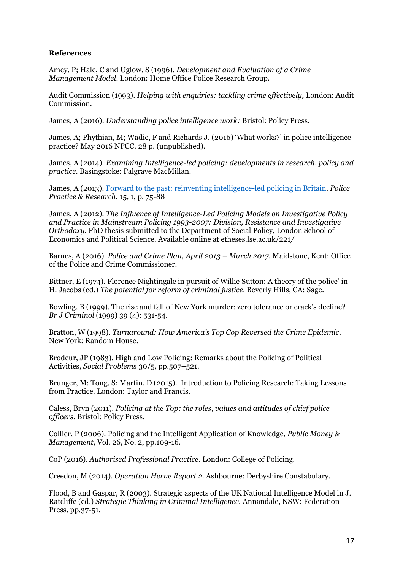# **References**

Amey, P; Hale, C and Uglow, S (1996). *Development and Evaluation of a Crime Management Model*. London: Home Office Police Research Group.

Audit Commission (1993). *Helping with enquiries: tackling crime effectively,* London: Audit Commission.

James, A (2016). *Understanding police intelligence work:* Bristol: Policy Press.

James, A; Phythian, M; Wadie, F and Richards J. (2016) 'What works?' in police intelligence practice? May 2016 NPCC. 28 p. (unpublished).

James, A (2014). *Examining Intelligence-led policing: developments in research, policy and practice.* Basingstoke: Palgrave MacMillan.

James, A (2013). [Forward to the past: reinventing intelligence-led policing in Britain.](https://researchportal.port.ac.uk/portal/en/publications/forward-to-the-past(421c8e02-aae6-4460-9631-36a3beace577).html) *Police Practice & Research.* 15, 1, p. 75-88

James, A (2012). *The Influence of Intelligence-Led Policing Models on Investigative Policy and Practice in Mainstream Policing 1993-2007: Division, Resistance and Investigative Orthodoxy.* PhD thesis submitted to the Department of Social Policy, London School of Economics and Political Science. Available online at etheses.lse.ac.uk/221*/* 

Barnes, A (2016). *Police and Crime Plan, April 2013 – March 2017*. Maidstone, Kent: Office of the Police and Crime Commissioner.

Bittner, E (1974). Florence Nightingale in pursuit of Willie Sutton: A theory of the police' in H. Jacobs (ed.) *The potential for reform of criminal justice*. Beverly Hills, CA: Sage.

Bowling, B (1999). The rise and fall of New York murder: zero tolerance or crack's decline? *Br J Criminol* (1999) 39 (4): 531-54.

Bratton, W (1998). *Turnaround: How America's Top Cop Reversed the Crime Epidemic*. New York: Random House.

Brodeur, JP (1983). High and Low Policing: Remarks about the Policing of Political Activities, *Social Problems* 30/5, pp.507–521.

Brunger, M; Tong, S; Martin, D (2015). Introduction to Policing Research: Taking Lessons from Practice. London: Taylor and Francis.

Caless, Bryn (2011). *Policing at the Top: the roles, values and attitudes of chief police officers*, Bristol: Policy Press.

Collier, P (2006). Policing and the Intelligent Application of Knowledge, *Public Money & Management*, Vol. 26, No. 2, pp.109-16.

CoP (2016). *Authorised Professional Practice.* London: College of Policing.

Creedon, M (2014). *Operation Herne Report 2*. Ashbourne: Derbyshire Constabulary.

Flood, B and Gaspar, R (2003). Strategic aspects of the UK National Intelligence Model in J. Ratcliffe (ed.) *Strategic Thinking in Criminal Intelligence.* Annandale, NSW: Federation Press, pp.37-51.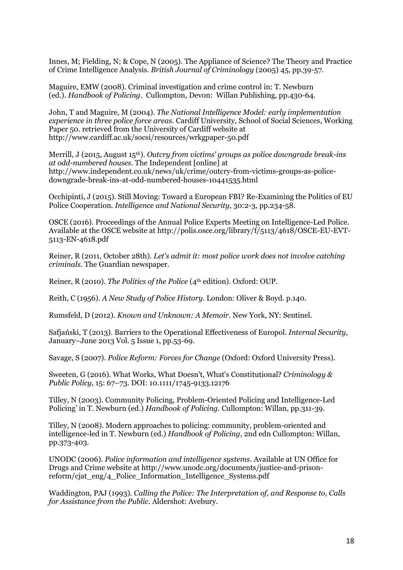Innes, M; Fielding, N; & Cope, N (2005). The Appliance of Science? The Theory and Practice of Crime Intelligence Analysis. *British Journal of Criminology* (2005) 45, pp.39-57.

Maguire, EMW (2008). Criminal investigation and crime control in: T. Newburn (ed.). *Handbook of Policing*. Cullompton, Devon: Willan Publishing, pp.430-64.

John, T and Maguire, M (2004). *The National Intelligence Model: early implementation experience in three police force areas.* Cardiff University, School of Social Sciences, Working Paper 50. retrieved from the University of Cardiff website at http://www.cardiff.ac.uk/socsi/resources/wrkgpaper-50.pdf

Merrill, J (2015, August 15th). *Outcry from victims' groups as police downgrade break-ins at odd-numbered houses*. The Independent [online] at http://www.independent.co.uk/news/uk/crime/outcry-from-victims-groups-as-policedowngrade-break-ins-at-odd-numbered-houses-10441535.html

Occhipinti, J (2015). Still Moving: Toward a European FBI? Re-Examining the Politics of EU Police Cooperation. *Intelligence and National Security*, 30:2-3, pp.234-58.

OSCE (2016). Proceedings of the Annual Police Experts Meeting on Intelligence-Led Police. Available at the OSCE website at http://polis.osce.org/library/f/5113/4618/OSCE-EU-EVT-5113-EN-4618.pdf

Reiner, R (2011, October 28th). *Let's admit it: most police work does not involve catching criminals.* The Guardian newspaper.

Reiner, R (2010). *The Politics of the Police* (4<sup>th</sup> edition). Oxford: OUP.

Reith, C (1956). *A New Study of Police History*. London: Oliver & Boyd. p.140.

Rumsfeld, D (2012). *Known and Unknown: A Memoir*. New York, NY: Sentinel.

Safjański, T (2013). Barriers to the Operational Effectiveness of Europol. *Internal Security*, January–June 2013 Vol. 5 Issue 1, pp.53-69.

Savage, S (2007). *Police Reform: Forces for Change* (Oxford: Oxford University Press).

Sweeten, G (2016). What Works, What Doesn't, What's Constitutional? *Criminology & Public Policy*, 15: 67–73. DOI: 10.1111/1745-9133.12176

Tilley, N (2003). Community Policing, Problem-Oriented Policing and Intelligence-Led Policing' in T. Newburn (ed.) *Handbook of Policing.* Cullompton: Willan, pp.311-39.

Tilley, N (2008). Modern approaches to policing: community, problem-oriented and intelligence-led in T. Newburn (ed.) *Handbook of Policing*, 2nd edn Cullompton: Willan, pp.373-403.

UNODC (2006). *Police information and intelligence systems*. Available at UN Office for Drugs and Crime website at http://www.unodc.org/documents/justice-and-prisonreform/cjat\_eng/4\_Police\_Information\_Intelligence\_Systems.pdf

Waddington, PAJ (1993). *Calling the Police: The Interpretation of, and Response to, Calls for Assistance from the Public*. Aldershot: Avebury.